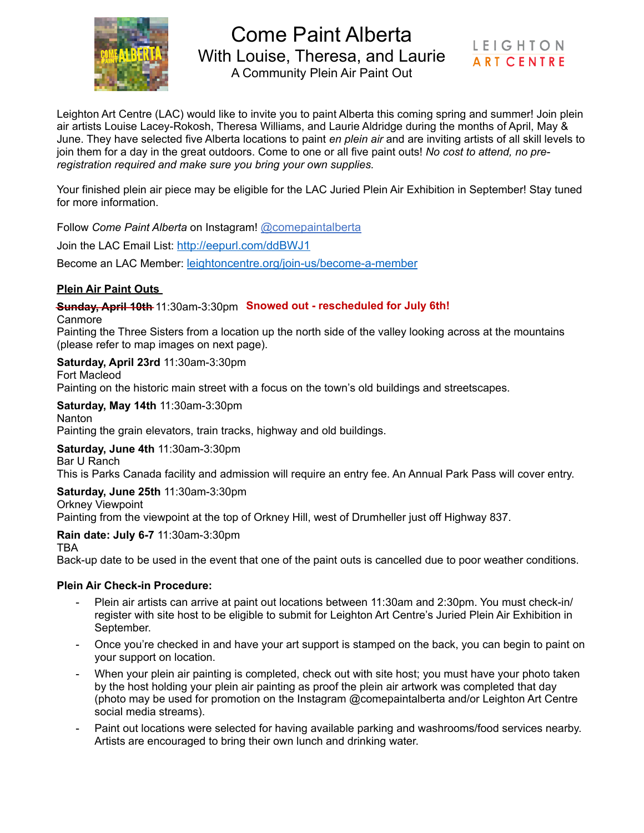

Come Paint Alberta With Louise, Theresa, and Laurie A Community Plein Air Paint Out

**LEIGHTON ART CENTRE** 

Leighton Art Centre (LAC) would like to invite you to paint Alberta this coming spring and summer! Join plein air artists Louise Lacey-Rokosh, Theresa Williams, and Laurie Aldridge during the months of April, May & June. They have selected five Alberta locations to paint *en plein air* and are inviting artists of all skill levels to join them for a day in the great outdoors. Come to one or all five paint outs! *No cost to attend, no preregistration required and make sure you bring your own supplies.*

Your finished plein air piece may be eligible for the LAC Juried Plein Air Exhibition in September! Stay tuned for more information.

Follow *Come Paint Alberta* on Instagram! [@comepaintalberta](https://www.instagram.com/comepaintalberta/)

Join the LAC Email List:<http://eepurl.com/ddBWJ1>

Become an LAC Member: [leightoncentre.org/join-us/become-a-member](mailto:no_reply@apple.com)

## **Plein Air Paint Outs**

Sunday, April 10th 11:30am-3:30pm Snowed out - rescheduled for July 6th!

Canmore

Painting the Three Sisters from a location up the north side of the valley looking across at the mountains (please refer to map images on next page).

**Saturday, April 23rd** 11:30am-3:30pm

Fort Macleod Painting on the historic main street with a focus on the town's old buildings and streetscapes.

**Saturday, May 14th** 11:30am-3:30pm Nanton Painting the grain elevators, train tracks, highway and old buildings.

**Saturday, June 4th** 11:30am-3:30pm Bar U Ranch

This is Parks Canada facility and admission will require an entry fee. An Annual Park Pass will cover entry.

**Saturday, June 25th** 11:30am-3:30pm

Orkney Viewpoint Painting from the viewpoint at the top of Orkney Hill, west of Drumheller just off Highway 837.

**Rain date: July 6-7** 11:30am-3:30pm

TBA

Back-up date to be used in the event that one of the paint outs is cancelled due to poor weather conditions.

## **Plein Air Check-in Procedure:**

- Plein air artists can arrive at paint out locations between 11:30am and 2:30pm. You must check-in/ register with site host to be eligible to submit for Leighton Art Centre's Juried Plein Air Exhibition in September.
- Once you're checked in and have your art support is stamped on the back, you can begin to paint on your support on location.
- When your plein air painting is completed, check out with site host; you must have your photo taken by the host holding your plein air painting as proof the plein air artwork was completed that day (photo may be used for promotion on the Instagram @comepaintalberta and/or Leighton Art Centre social media streams).
- Paint out locations were selected for having available parking and washrooms/food services nearby. Artists are encouraged to bring their own lunch and drinking water.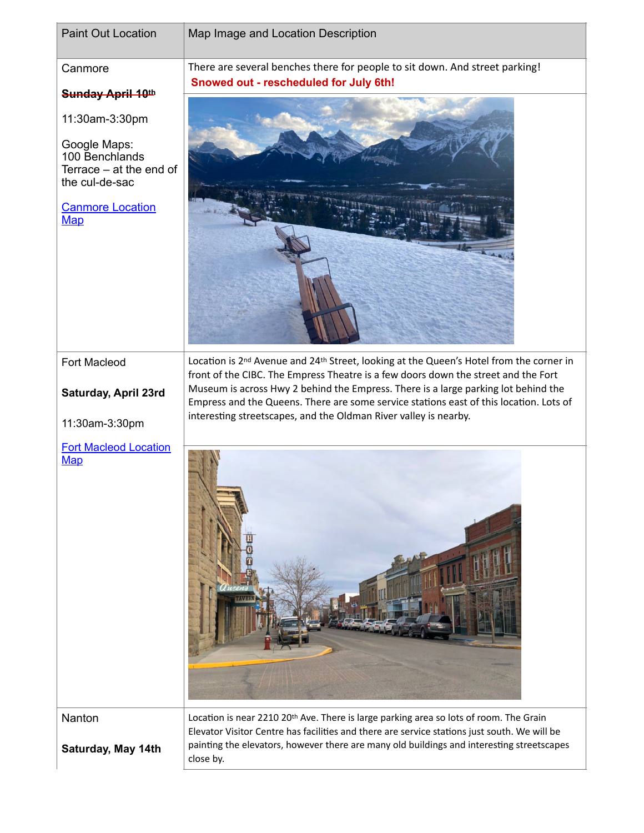| <b>Paint Out Location</b>                                                                                            | Map Image and Location Description                                                                                                                                                                                                                                                               |
|----------------------------------------------------------------------------------------------------------------------|--------------------------------------------------------------------------------------------------------------------------------------------------------------------------------------------------------------------------------------------------------------------------------------------------|
| Canmore                                                                                                              | There are several benches there for people to sit down. And street parking!<br>Snowed out - rescheduled for July 6th!                                                                                                                                                                            |
| Sunday April 10th                                                                                                    |                                                                                                                                                                                                                                                                                                  |
| 11:30am-3:30pm                                                                                                       |                                                                                                                                                                                                                                                                                                  |
| Google Maps:<br>100 Benchlands<br>Terrace – at the end of<br>the cul-de-sac<br><b>Canmore Location</b><br><b>Map</b> |                                                                                                                                                                                                                                                                                                  |
|                                                                                                                      |                                                                                                                                                                                                                                                                                                  |
| Fort Macleod                                                                                                         | Location is 2 <sup>nd</sup> Avenue and 24 <sup>th</sup> Street, looking at the Queen's Hotel from the corner in                                                                                                                                                                                  |
| Saturday, April 23rd                                                                                                 | front of the CIBC. The Empress Theatre is a few doors down the street and the Fort<br>Museum is across Hwy 2 behind the Empress. There is a large parking lot behind the                                                                                                                         |
|                                                                                                                      | Empress and the Queens. There are some service stations east of this location. Lots of<br>interesting streetscapes, and the Oldman River valley is nearby.                                                                                                                                       |
| 11:30am-3:30pm                                                                                                       |                                                                                                                                                                                                                                                                                                  |
| <b>Fort Macleod Location</b><br>Map                                                                                  |                                                                                                                                                                                                                                                                                                  |
| Nanton<br>Saturday, May 14th                                                                                         | Location is near 2210 20th Ave. There is large parking area so lots of room. The Grain<br>Elevator Visitor Centre has facilities and there are service stations just south. We will be<br>painting the elevators, however there are many old buildings and interesting streetscapes<br>close by. |